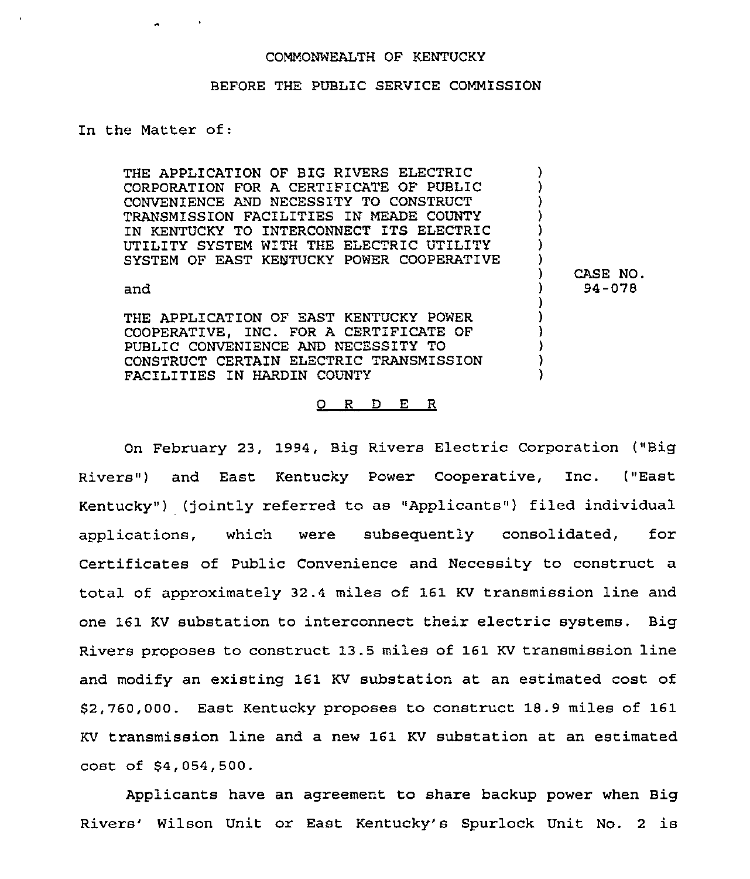## COMMONWEALTH OF KENTUCKY

## BEFORE THE PUBLIC SERVICE COMMISSION

In the Matter of:

| THE APPLICATION OF BIG RIVERS ELECTRIC<br>CORPORATION FOR A CERTIFICATE OF PUBLIC<br>CONVENIENCE AND NECESSITY TO CONSTRUCT<br>TRANSMISSION FACILITIES IN MEADE COUNTY<br>IN KENTUCKY TO INTERCONNECT ITS ELECTRIC<br>UTILITY SYSTEM WITH THE ELECTRIC UTILITY<br>SYSTEM OF EAST KENTUCKY POWER COOPERATIVE |                    |
|-------------------------------------------------------------------------------------------------------------------------------------------------------------------------------------------------------------------------------------------------------------------------------------------------------------|--------------------|
| and                                                                                                                                                                                                                                                                                                         | CASE NO.<br>94-078 |
| THE APPLICATION OF EAST KENTUCKY POWER<br>COOPERATIVE, INC. FOR A CERTIFICATE OF<br>PUBLIC CONVENIENCE AND NECESSITY TO<br>CONSTRUCT CERTAIN ELECTRIC TRANSMISSION<br>FACTLITIES IN HARDIN COUNTY                                                                                                           |                    |

## 0 <sup>R</sup> <sup>D</sup> E R

On February 23, 1994, Big Rivers Electric Corporation ("Big Rivers" ) and East Kentucky Power Cooperative, Inc. ("East Kentucky") (jointly referred to as "Applicants") filed individual applications, which were subsequently consolidated, for Certificates of Public Convenience and Necessity to construct a total of approximately 32.4 miles of 161 KV transmission line and one 161 KV substation to interconnect their electric systems. Big Rivers proposes to construct 13.5 miles of 161 KV transmission line and modify an existing 161 KV substation at an estimated cost of \$2,760,000. East Kentucky proposes to construct 18.9 miles of 161 KV transmission line and a new 161 KV substation at an estimated cost of \$4,054,500.

Applicants have an agreement to share backup power when Big Rivers' Wilson Unit or East Kentucky's Spurlock Unit No. 2 is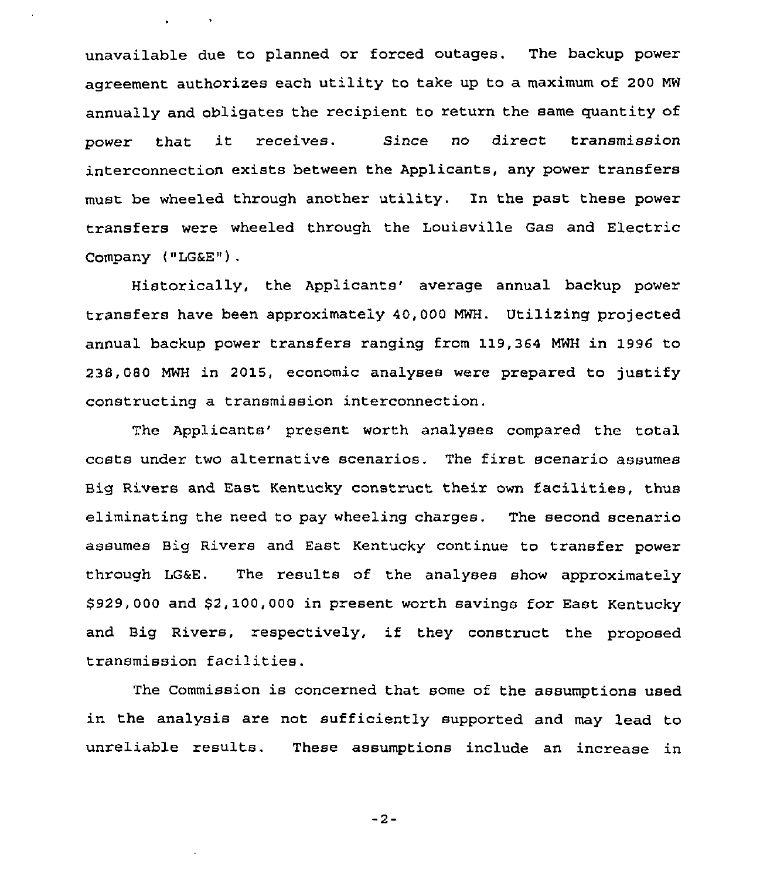unavailable due to planned or forced outages. The backup power agreement authorizes each utility to take up to a maximum of 200 MW annually and obligates the recipient to return the same quantity of power that it receives. Since no direct transmission interconnection exists between the Applicants, any power transfers must be wheeled through another utility. In the past these power transfers were wheeled through the Louisville Gas and Electric Company ("LG&E").

 $\mathbf{q} = \mathbf{q} \times \mathbf{q}$  ,  $\mathbf{q} = \mathbf{q} \times \mathbf{q}$ 

Historically, the Applicants' average annual backup power transfers have been approximately 40,000 MWH. Utilizing projected annual backup power transfers ranging from 119,364 MWH in 1996 to 238,080 MwH in 2015, economic analyses were prepared to justify constructing a transmission interconnection.

The Applicants' present worth analyses compared the total costs under two alternative scenarios, The first scenario assumes Big Rivers and East Kentucky construct their own facilities, thus eliminating the need to pay wheeling charges. The second scenario. assumes Big Rivers and East Kentucky continue to transfer power through LG&E. The results of the analyses show approximately \$ 929,000 and \$2,100,000 in present worth savings for East Kentucky and Big Rivers, respectively, if they construct the proposed transmission facilities.

The Commission is concerned that some of the assumptions used in the analysis are not sufficiently supported and may lead to unreliable results. These assumptions include an increase in

 $-2-$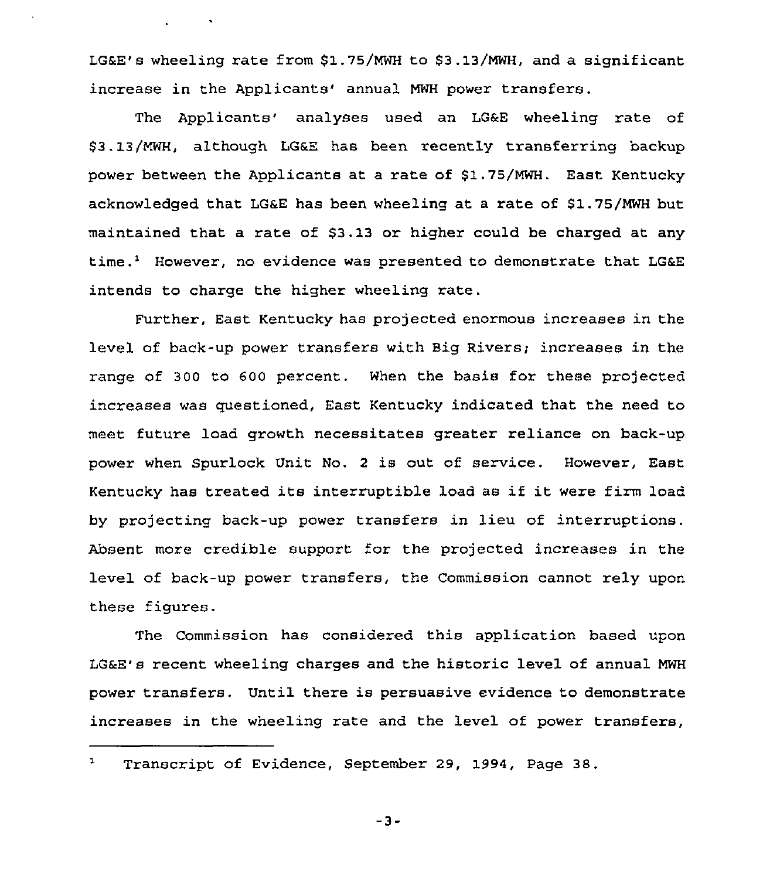LG&E's wheeling rate from \$1.75/MWH to \$3.13/MWH, and a significant increase in the Applicants' annual MWH power transfers.

 $\mathcal{L}^{\text{max}}$  and  $\mathcal{L}^{\text{max}}$ 

The Applicants' analyses used an LG&E wheeling rate of \$3.13/MWH, although LG&E has been recently transferring backup power between the Applicants at a rate of \$1.75/MWH. East Kentucky acknowledged that LG&E has been wheeling at a rate of \$1.75/MWH but maintained that a rate of \$3.13 or higher could be charged at any time.<sup>1</sup> However, no evidence was presented to demonstrate that LG&E intends to charge the higher wheeling rate.

Further, East Kentucky has projected enormous increases in the level of back-up power transfers with Big Rivers; increases in the range of 300 to 600 percent. When the basis for these projected increases was questioned, East Kentucky indicated that the need to meet future load growth necessitates greater reliance on back-up power when Spurlock Unit No. <sup>2</sup> is out of service. However, East Kentucky has treated its interruptible load as if it were firm load by projecting back-up power transfers in lieu of interruptions. Absent more credible support for the projected increases in the level of back-up power transfers, the Commission cannot rely upon these figures.

The Commission has considered this application based upon LG&E's recent wheeling charges and the historic level of annual NWH power transfers. Until there is persuasive evidence to demonstrate increases in the wheeling rate and the level of power transfers,

 $\mathbf{1}$ Transcript of Evidence, September 29, 1994, Page 38.

 $-3-$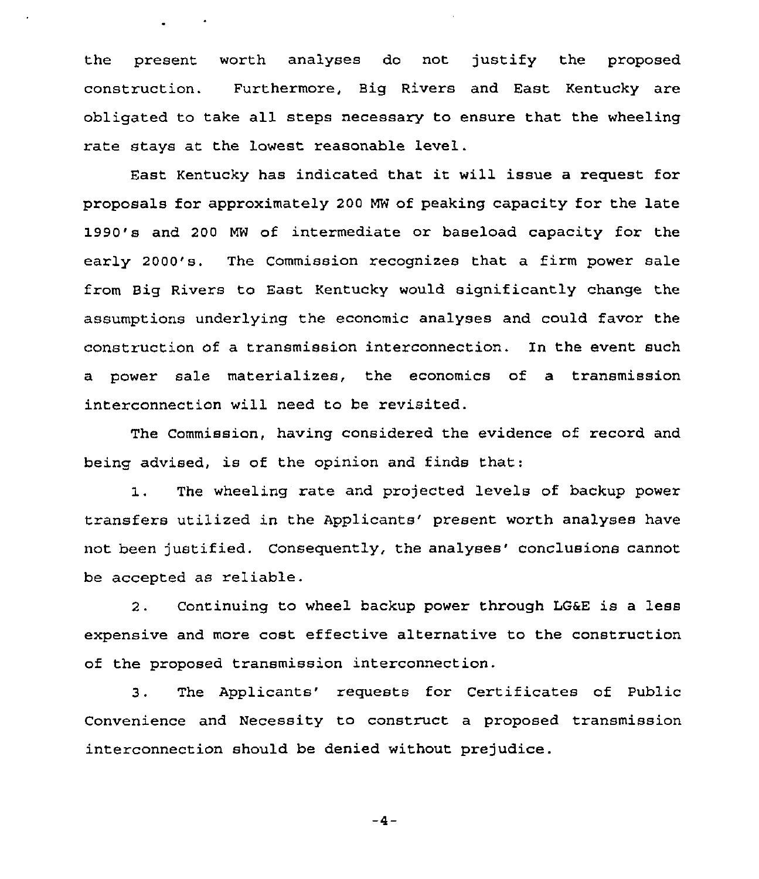the present worth analyses do not justify the proposed construction. Furthermore, Big Rivers and East Kentucky are obligated to take all steps necessary to ensure that the wheeling rate stays at the lowest reasonable level.

East Kentucky has indicated that it will issue <sup>a</sup> request for proposals for approximately 200 MW of peaking capacity for the late 1990's and 200 MW of intermediate or baseload capacity for the early 2000's. The Commission recognizes that a firm power sale from Big Rivers to East Kentucky would significantly change the assumptions underlying the economic analyses and could favor the construction of a transmission interconnection. In the event such a power sale materializes, the economics of a transmission interconnection will need to be revisited.

The Commission, having considered the evidence of record and being advised, is of the opinion and finds that:

The wheeling rate and projected levels of backup power  $1.$ transfers utilized in the Applicants' present worth analyses have not been justified. Consequently, the analyses' conclusions cannot be accepted as reliable.

2. Continuing to wheel backup power through LG&E is <sup>a</sup> less expensive and more cost effective alternative to the construction of the proposed transmission interconnection.

3. The Applicants' requests for Certificates of Public Convenience and Necessity to construct a proposed transmission interconnection should be denied without prejudice.

 $-4-$